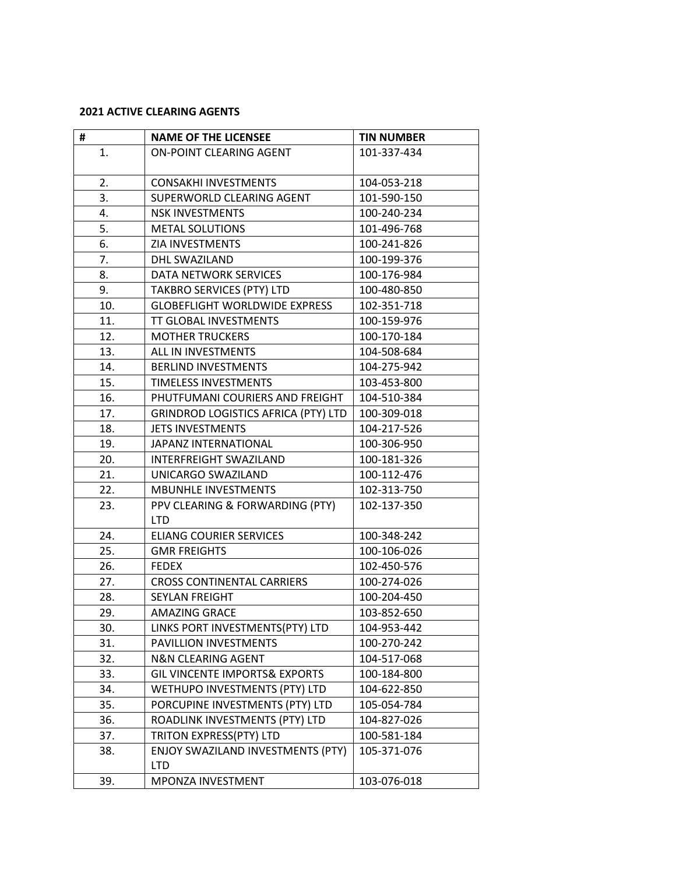## **2021 ACTIVE CLEARING AGENTS**

| #   | <b>NAME OF THE LICENSEE</b>                     | <b>TIN NUMBER</b> |
|-----|-------------------------------------------------|-------------------|
| 1.  | <b>ON-POINT CLEARING AGENT</b>                  | 101-337-434       |
| 2.  | <b>CONSAKHI INVESTMENTS</b>                     | 104-053-218       |
| 3.  | SUPERWORLD CLEARING AGENT                       | 101-590-150       |
| 4.  | <b>NSK INVESTMENTS</b>                          | 100-240-234       |
| 5.  | <b>METAL SOLUTIONS</b>                          | 101-496-768       |
| 6.  | ZIA INVESTMENTS                                 | 100-241-826       |
| 7.  | DHL SWAZILAND                                   | 100-199-376       |
| 8.  | DATA NETWORK SERVICES                           | 100-176-984       |
| 9.  | TAKBRO SERVICES (PTY) LTD                       | 100-480-850       |
| 10. | <b>GLOBEFLIGHT WORLDWIDE EXPRESS</b>            | 102-351-718       |
| 11. | TT GLOBAL INVESTMENTS                           | 100-159-976       |
| 12. | <b>MOTHER TRUCKERS</b>                          | 100-170-184       |
| 13. | ALL IN INVESTMENTS                              | 104-508-684       |
| 14. | <b>BERLIND INVESTMENTS</b>                      | 104-275-942       |
| 15. | TIMELESS INVESTMENTS                            | 103-453-800       |
| 16. | PHUTFUMANI COURIERS AND FREIGHT                 | 104-510-384       |
| 17. | <b>GRINDROD LOGISTICS AFRICA (PTY) LTD</b>      | 100-309-018       |
| 18. | <b>JETS INVESTMENTS</b>                         | 104-217-526       |
| 19. | <b>JAPANZ INTERNATIONAL</b>                     | 100-306-950       |
| 20. | <b>INTERFREIGHT SWAZILAND</b>                   | 100-181-326       |
| 21. | UNICARGO SWAZILAND                              | 100-112-476       |
| 22. | <b>MBUNHLE INVESTMENTS</b>                      | 102-313-750       |
| 23. | PPV CLEARING & FORWARDING (PTY)<br><b>LTD</b>   | 102-137-350       |
| 24. | <b>ELIANG COURIER SERVICES</b>                  | 100-348-242       |
| 25. | <b>GMR FREIGHTS</b>                             | 100-106-026       |
| 26. | <b>FEDEX</b>                                    | 102-450-576       |
| 27. | <b>CROSS CONTINENTAL CARRIERS</b>               | 100-274-026       |
| 28. | <b>SEYLAN FREIGHT</b>                           | 100-204-450       |
| 29. | <b>AMAZING GRACE</b>                            | 103-852-650       |
| 30. | LINKS PORT INVESTMENTS(PTY) LTD                 | 104-953-442       |
| 31. | PAVILLION INVESTMENTS                           | 100-270-242       |
| 32. | <b>N&amp;N CLEARING AGENT</b>                   | 104-517-068       |
| 33. | <b>GIL VINCENTE IMPORTS&amp; EXPORTS</b>        | 100-184-800       |
| 34. | WETHUPO INVESTMENTS (PTY) LTD                   | 104-622-850       |
| 35. | PORCUPINE INVESTMENTS (PTY) LTD                 | 105-054-784       |
| 36. | ROADLINK INVESTMENTS (PTY) LTD                  | 104-827-026       |
| 37. | TRITON EXPRESS(PTY) LTD                         | 100-581-184       |
| 38. | ENJOY SWAZILAND INVESTMENTS (PTY)<br><b>LTD</b> | 105-371-076       |
| 39. | MPONZA INVESTMENT                               | 103-076-018       |